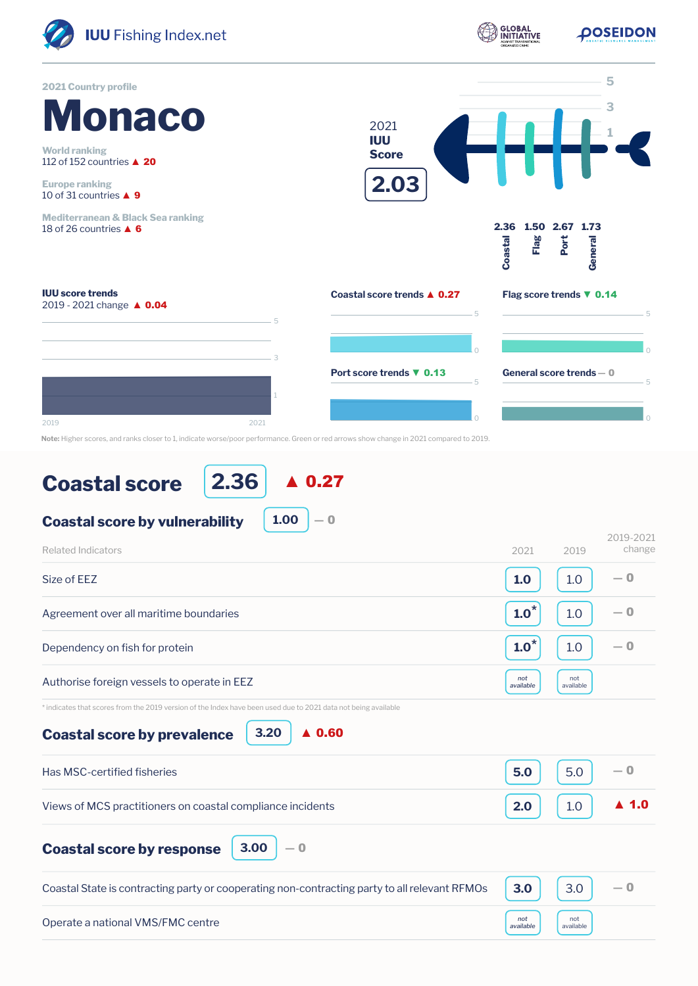

**2.36** ▲ 0.27

| 1.00<br><b>Coastal score by vulnerability</b><br>$\Omega$                                                      |                  |                  |                      |
|----------------------------------------------------------------------------------------------------------------|------------------|------------------|----------------------|
| <b>Related Indicators</b>                                                                                      | 2021             | 2019             | 2019-2021<br>change  |
| Size of EEZ                                                                                                    | 1.0              | 1.0              | $-0$                 |
| Agreement over all maritime boundaries                                                                         | $1.0^*$          | 1.0              | $-0$                 |
| Dependency on fish for protein                                                                                 | $1.0^*$          | 1.0              | $-0$                 |
| Authorise foreign vessels to operate in EEZ                                                                    | not<br>available | not<br>available |                      |
| * indicates that scores from the 2019 version of the Index have been used due to 2021 data not being available |                  |                  |                      |
| 3.20<br>$\triangle$ 0.60<br><b>Coastal score by prevalence</b>                                                 |                  |                  |                      |
| Has MSC-certified fisheries                                                                                    | 5.0              | 5.0              | $-0$                 |
| Views of MCS practitioners on coastal compliance incidents                                                     | 2.0              | 1.0              | $\blacktriangle$ 1.0 |
| 3.00<br>$-0$<br><b>Coastal score by response</b>                                                               |                  |                  |                      |
| Coastal State is contracting party or cooperating non-contracting party to all relevant RFMOs                  | 3.0              | 3.0              | $-0$                 |
| Operate a national VMS/FMC centre                                                                              | not<br>available | not<br>available |                      |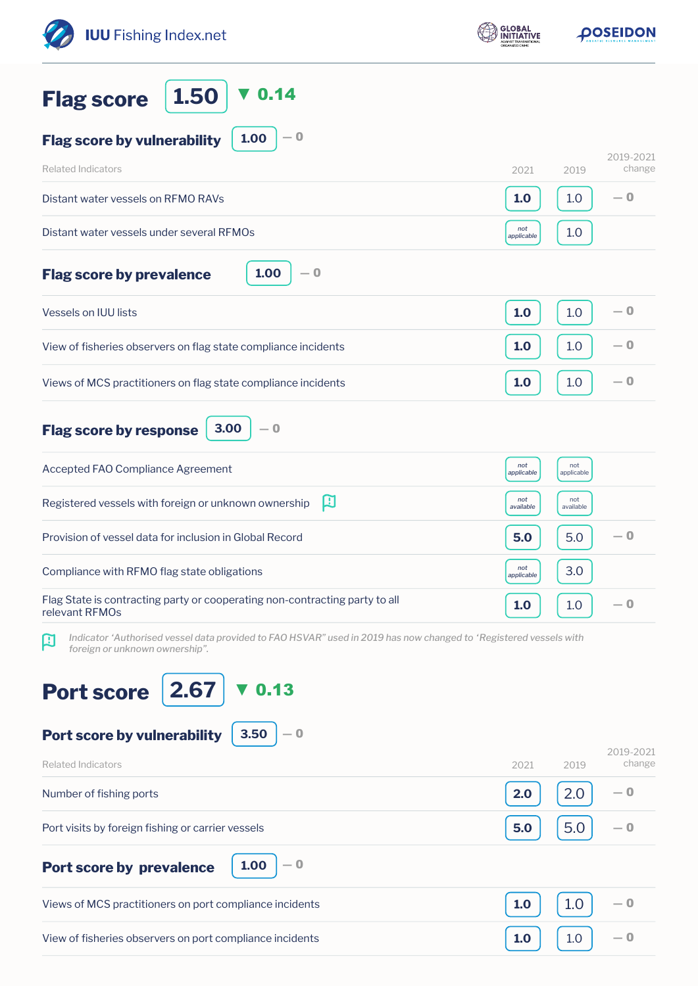| <b>GLOBAL</b><br><b>IUU</b> Fishing Index.net<br>NITIATIVE                                                                                                      |                   | <b>DOSEIDON</b>             |  |
|-----------------------------------------------------------------------------------------------------------------------------------------------------------------|-------------------|-----------------------------|--|
| 0.14<br>1.50<br><b>Flag score</b>                                                                                                                               |                   |                             |  |
| $-0$<br>1.00<br><b>Flag score by vulnerability</b>                                                                                                              |                   |                             |  |
| <b>Related Indicators</b>                                                                                                                                       | 2021              | 2019-2021<br>change<br>2019 |  |
| Distant water vessels on RFMO RAVs                                                                                                                              | 1.0               | $-0$<br>1.0                 |  |
| Distant water vessels under several RFMOs                                                                                                                       | not<br>applicable | 1.0                         |  |
| 1.00<br>$-0$<br><b>Flag score by prevalence</b>                                                                                                                 |                   |                             |  |
| <b>Vessels on IUU lists</b>                                                                                                                                     | 1.0               | $-0$<br>1.0                 |  |
| View of fisheries observers on flag state compliance incidents                                                                                                  | 1.0               | $-0$<br>1.0                 |  |
| Views of MCS practitioners on flag state compliance incidents                                                                                                   | 1.0               | $-0$<br>1.0                 |  |
| 3.00<br>$-0$<br><b>Flag score by response</b>                                                                                                                   |                   |                             |  |
| Accepted FAO Compliance Agreement                                                                                                                               | not<br>applicable | not<br>applicable           |  |
| 口<br>Registered vessels with foreign or unknown ownership                                                                                                       | not<br>available  | not<br>available            |  |
| Provision of vessel data for inclusion in Global Record                                                                                                         | 5.0               | — 0<br>5.0                  |  |
| Compliance with RFMO flag state obligations                                                                                                                     | not<br>applicable | 3.0                         |  |
| Flag State is contracting party or cooperating non-contracting party to all<br>relevant RFMOs                                                                   | 1.0               | $-0$<br>1.0                 |  |
| Indicator 'Authorised vessel data provided to FAO HSVAR" used in 2019 has now changed to 'Registered vessels with<br>$\bf{R}$<br>foreign or unknown ownership". |                   |                             |  |
| 2.67<br>0.13<br><b>Port score</b><br>3.50<br>Port score by vulnerability<br>$-0$                                                                                |                   |                             |  |
| <b>Related Indicators</b>                                                                                                                                       | 2021              | 2019-2021<br>change<br>2019 |  |
| Number of fishing ports                                                                                                                                         | 2.0               | — 0<br>2.0                  |  |
| Port visits by foreign fishing or carrier vessels                                                                                                               | 5.0               | 5.0<br>$-0$                 |  |
| $-0$<br>1.00<br><b>Port score by prevalence</b>                                                                                                                 |                   |                             |  |
| Views of MCS practitioners on port compliance incidents                                                                                                         | 1.0               | 1.0<br>— 0                  |  |
| View of fisheries observers on port compliance incidents                                                                                                        | 1.0               | — 0<br>1.0                  |  |